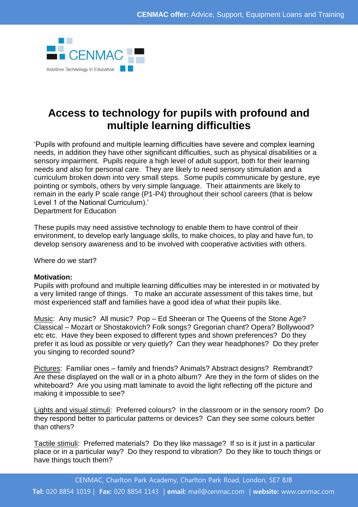

# **Access to technology for pupils with profound and multiple learning difficulties**

'Pupils with profound and multiple learning difficulties have severe and complex learning needs, in addition they have other significant difficulties, such as physical disabilities or a sensory impairment. Pupils require a high level of adult support, both for their learning needs and also for personal care. They are likely to need sensory stimulation and a curriculum broken down into very small steps. Some pupils communicate by gesture, eye pointing or symbols, others by very simple language. Their attainments are likely to remain in the early P scale range (P1-P4) throughout their school careers (that is below Level 1 of the National Curriculum).'

Department for Education

These pupils may need assistive technology to enable them to have control of their environment, to develop early language skills, to make choices, to play and have fun, to develop sensory awareness and to be involved with cooperative activities with others.

Where do we start?

### **Motivation:**

Pupils with profound and multiple learning difficulties may be interested in or motivated by a very limited range of things. To make an accurate assessment of this takes time, but most experienced staff and families have a good idea of what their pupils like.

Music: Any music? All music? Pop – Ed Sheeran or The Queens of the Stone Age? Classical – Mozart or Shostakovich? Folk songs? Gregorian chant? Opera? Bollywood? etc etc. Have they been exposed to different types and shown preferences? Do they prefer it as loud as possible or very quietly? Can they wear headphones? Do they prefer you singing to recorded sound?

Pictures: Familiar ones – family and friends? Animals? Abstract designs? Rembrandt? Are these displayed on the wall or in a photo album? Are they in the form of slides on the whiteboard? Are you using matt laminate to avoid the light reflecting off the picture and making it impossible to see?

Lights and visual stimuli: Preferred colours? In the classroom or in the sensory room? Do they respond better to particular patterns or devices? Can they see some colours better than others?

Tactile stimuli: Preferred materials? Do they like massage? If so is it just in a particular place or in a particular way? Do they respond to vibration? Do they like to touch things or have things touch them?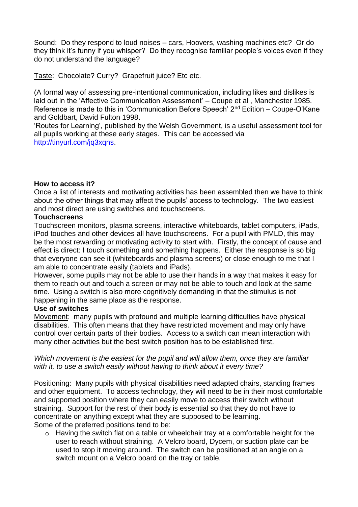Sound: Do they respond to loud noises – cars, Hoovers, washing machines etc? Or do they think it's funny if you whisper? Do they recognise familiar people's voices even if they do not understand the language?

Taste: Chocolate? Curry? Grapefruit juice? Etc etc.

(A formal way of assessing pre-intentional communication, including likes and dislikes is laid out in the 'Affective Communication Assessment' – Coupe et al , Manchester 1985. Reference is made to this in 'Communication Before Speech' 2<sup>nd</sup> Edition – Coupe-O'Kane and Goldbart, David Fulton 1998.

'Routes for Learning', published by the Welsh Government, is a useful assessment tool for all pupils working at these early stages. This can be accessed via http://tinyurl.com/ja3xans.

## **How to access it?**

Once a list of interests and motivating activities has been assembled then we have to think about the other things that may affect the pupils' access to technology. The two easiest and most direct are using switches and touchscreens.

## **Touchscreens**

Touchscreen monitors, plasma screens, interactive whiteboards, tablet computers, iPads, iPod touches and other devices all have touchscreens. For a pupil with PMLD, this may be the most rewarding or motivating activity to start with. Firstly, the concept of cause and effect is direct: I touch something and something happens. Either the response is so big that everyone can see it (whiteboards and plasma screens) or close enough to me that I am able to concentrate easily (tablets and iPads).

However, some pupils may not be able to use their hands in a way that makes it easy for them to reach out and touch a screen or may not be able to touch and look at the same time. Using a switch is also more cognitively demanding in that the stimulus is not happening in the same place as the response.

### **Use of switches**

Movement: many pupils with profound and multiple learning difficulties have physical disabilities. This often means that they have restricted movement and may only have control over certain parts of their bodies. Access to a switch can mean interaction with many other activities but the best switch position has to be established first.

## *Which movement is the easiest for the pupil and will allow them, once they are familiar with it, to use a switch easily without having to think about it every time?*

Positioning: Many pupils with physical disabilities need adapted chairs, standing frames and other equipment. To access technology, they will need to be in their most comfortable and supported position where they can easily move to access their switch without straining. Support for the rest of their body is essential so that they do not have to concentrate on anything except what they are supposed to be learning. Some of the preferred positions tend to be:

o Having the switch flat on a table or wheelchair tray at a comfortable height for the user to reach without straining. A Velcro board, Dycem, or suction plate can be used to stop it moving around. The switch can be positioned at an angle on a switch mount on a Velcro board on the tray or table.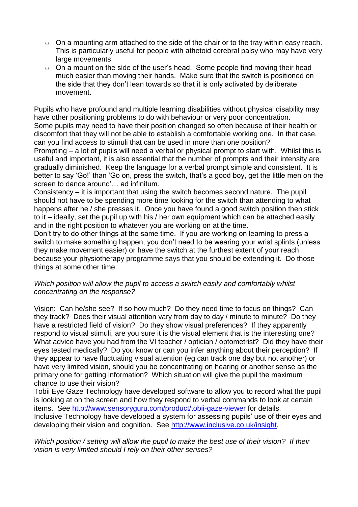- o On a mounting arm attached to the side of the chair or to the tray within easy reach. This is particularly useful for people with athetoid cerebral palsy who may have very large movements.
- $\circ$  On a mount on the side of the user's head. Some people find moving their head much easier than moving their hands. Make sure that the switch is positioned on the side that they don't lean towards so that it is only activated by deliberate movement.

Pupils who have profound and multiple learning disabilities without physical disability may have other positioning problems to do with behaviour or very poor concentration. Some pupils may need to have their position changed so often because of their health or discomfort that they will not be able to establish a comfortable working one. In that case, can you find access to stimuli that can be used in more than one position?

Prompting – a lot of pupils will need a verbal or physical prompt to start with. Whilst this is useful and important, it is also essential that the number of prompts and their intensity are gradually diminished. Keep the language for a verbal prompt simple and consistent. It is better to say 'Go!' than 'Go on, press the switch, that's a good boy, get the little men on the screen to dance around'… ad infinitum.

Consistency – it is important that using the switch becomes second nature. The pupil should not have to be spending more time looking for the switch than attending to what happens after he / she presses it. Once you have found a good switch position then stick to it – ideally, set the pupil up with his / her own equipment which can be attached easily and in the right position to whatever you are working on at the time.

Don't try to do other things at the same time. If you are working on learning to press a switch to make something happen, you don't need to be wearing your wrist splints (unless they make movement easier) or have the switch at the furthest extent of your reach because your physiotherapy programme says that you should be extending it. Do those things at some other time.

# *Which position will allow the pupil to access a switch easily and comfortably whilst concentrating on the response?*

Vision: Can he/she see? If so how much? Do they need time to focus on things? Can they track? Does their visual attention vary from day to day / minute to minute? Do they have a restricted field of vision? Do they show visual preferences? If they apparently respond to visual stimuli, are you sure it is the visual element that is the interesting one? What advice have you had from the VI teacher / optician / optometrist? Did they have their eyes tested medically? Do you know or can you infer anything about their perception? If they appear to have fluctuating visual attention (eg can track one day but not another) or have very limited vision, should you be concentrating on hearing or another sense as the primary one for getting information? Which situation will give the pupil the maximum chance to use their vision?

Tobii Eye Gaze Technology have developed software to allow you to record what the pupil is looking at on the screen and how they respond to verbal commands to look at certain items. See<http://www.sensoryguru.com/product/tobii-gaze-viewer> for details. Inclusive Technology have developed a system for assessing pupils' use of their eyes and developing their vision and cognition. See [http://www.inclusive.co.uk/insight.](http://www.inclusive.co.uk/insight)

*Which position / setting will allow the pupil to make the best use of their vision? If their vision is very limited should I rely on their other senses?*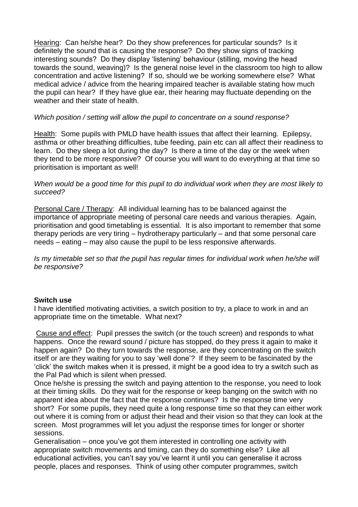Hearing: Can he/she hear? Do they show preferences for particular sounds? Is it definitely the sound that is causing the response? Do they show signs of tracking interesting sounds? Do they display 'listening' behaviour (stilling, moving the head towards the sound, weaving)? Is the general noise level in the classroom too high to allow concentration and active listening? If so, should we be working somewhere else? What medical advice / advice from the hearing impaired teacher is available stating how much the pupil can hear? If they have glue ear, their hearing may fluctuate depending on the weather and their state of health.

# *Which position / setting will allow the pupil to concentrate on a sound response?*

Health: Some pupils with PMLD have health issues that affect their learning. Epilepsy, asthma or other breathing difficulties, tube feeding, pain etc can all affect their readiness to learn. Do they sleep a lot during the day? Is there a time of the day or the week when they tend to be more responsive? Of course you will want to do everything at that time so prioritisation is important as well!

*When would be a good time for this pupil to do individual work when they are most likely to succeed?*

Personal Care / Therapy: All individual learning has to be balanced against the importance of appropriate meeting of personal care needs and various therapies. Again, prioritisation and good timetabling is essential. It is also important to remember that some therapy periods are very tiring – hydrotherapy particularly – and that some personal care needs – eating – may also cause the pupil to be less responsive afterwards.

*Is my timetable set so that the pupil has regular times for individual work when he/she will be responsive?*

# **Switch use**

I have identified motivating activities, a switch position to try, a place to work in and an appropriate time on the timetable. What next?

Cause and effect: Pupil presses the switch (or the touch screen) and responds to what happens. Once the reward sound / picture has stopped, do they press it again to make it happen again? Do they turn towards the response, are they concentrating on the switch itself or are they waiting for you to say 'well done'? If they seem to be fascinated by the 'click' the switch makes when it is pressed, it might be a good idea to try a switch such as the Pal Pad which is silent when pressed.

Once he/she is pressing the switch and paying attention to the response, you need to look at their timing skills. Do they wait for the response or keep banging on the switch with no apparent idea about the fact that the response continues? Is the response time very short? For some pupils, they need quite a long response time so that they can either work out where it is coming from or adjust their head and their vision so that they can look at the screen. Most programmes will let you adjust the response times for longer or shorter sessions.

Generalisation – once you've got them interested in controlling one activity with appropriate switch movements and timing, can they do something else? Like all educational activities, you can't say you've learnt it until you can generalise it across people, places and responses. Think of using other computer programmes, switch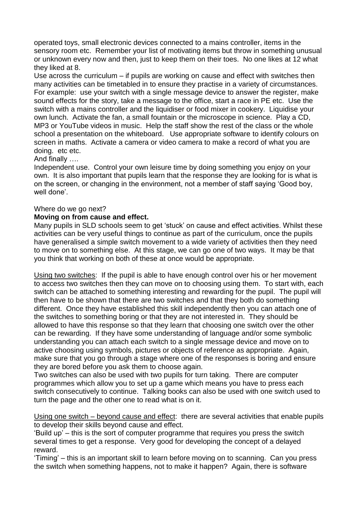operated toys, small electronic devices connected to a mains controller, items in the sensory room etc. Remember your list of motivating items but throw in something unusual or unknown every now and then, just to keep them on their toes. No one likes at 12 what they liked at 8.

Use across the curriculum – if pupils are working on cause and effect with switches then many activities can be timetabled in to ensure they practise in a variety of circumstances. For example: use your switch with a single message device to answer the register, make sound effects for the story, take a message to the office, start a race in PE etc. Use the switch with a mains controller and the liquidiser or food mixer in cookery. Liquidise your own lunch. Activate the fan, a small fountain or the microscope in science. Play a CD, MP3 or YouTube videos in music. Help the staff show the rest of the class or the whole school a presentation on the whiteboard. Use appropriate software to identify colours on screen in maths. Activate a camera or video camera to make a record of what you are doing. etc etc.

# And finally ….

Independent use. Control your own leisure time by doing something you enjoy on your own. It is also important that pupils learn that the response they are looking for is what is on the screen, or changing in the environment, not a member of staff saying 'Good boy, well done'.

## Where do we go next?

## **Moving on from cause and effect.**

Many pupils in SLD schools seem to get 'stuck' on cause and effect activities. Whilst these activities can be very useful things to continue as part of the curriculum, once the pupils have generalised a simple switch movement to a wide variety of activities then they need to move on to something else. At this stage, we can go one of two ways. It may be that you think that working on both of these at once would be appropriate.

Using two switches: If the pupil is able to have enough control over his or her movement to access two switches then they can move on to choosing using them. To start with, each switch can be attached to something interesting and rewarding for the pupil. The pupil will then have to be shown that there are two switches and that they both do something different. Once they have established this skill independently then you can attach one of the switches to something boring or that they are not interested in. They should be allowed to have this response so that they learn that choosing one switch over the other can be rewarding. If they have some understanding of language and/or some symbolic understanding you can attach each switch to a single message device and move on to active choosing using symbols, pictures or objects of reference as appropriate. Again, make sure that you go through a stage where one of the responses is boring and ensure they are bored before you ask them to choose again.

Two switches can also be used with two pupils for turn taking. There are computer programmes which allow you to set up a game which means you have to press each switch consecutively to continue. Talking books can also be used with one switch used to turn the page and the other one to read what is on it.

Using one switch – beyond cause and effect: there are several activities that enable pupils to develop their skills beyond cause and effect.

'Build up' – this is the sort of computer programme that requires you press the switch several times to get a response. Very good for developing the concept of a delayed reward.

'Timing' – this is an important skill to learn before moving on to scanning. Can you press the switch when something happens, not to make it happen? Again, there is software